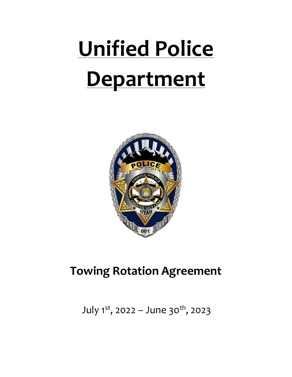# **Unified Police Department**



# **Towing Rotation Agreement**

July 1<sup>st</sup>, 2022 – June 30<sup>th</sup>, 2023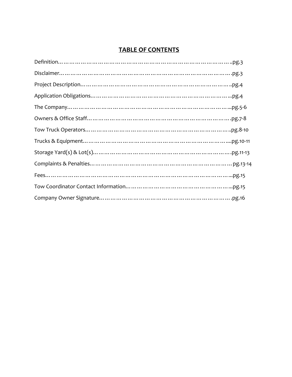# **TABLE OF CONTENTS**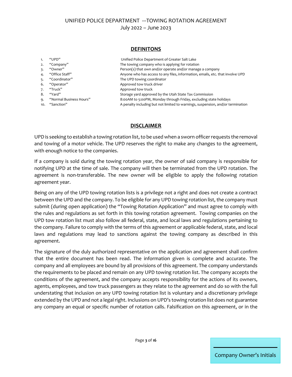#### **DEFINITONS**

|     | "UPD"                   | Unified Police Department of Greater Salt Lake                                  |
|-----|-------------------------|---------------------------------------------------------------------------------|
|     | "Company"               | The towing company who is applying for rotation                                 |
|     | "Owner"                 | Person(s) that own and/or operate and/or manage a company                       |
| 4.  | "Office Staff"          | Anyone who has access to any files, information, emails, etc. that involve UPD  |
|     | "Coordinator"           | The UPD towing coordinator                                                      |
| 6.  | "Operator"              | Approved tow truck driver                                                       |
|     | "Truck"                 | Approved tow truck                                                              |
| 8.  | "Yard"                  | Storage yard approved by the Utah State Tax Commission                          |
| ۹.  | "Normal Business Hours" | 8:00AM to 5:00PM, Monday through Friday, excluding state holidays               |
| 10. | "Sanction"              | A penalty including but not limited to warnings, suspension, and/or termination |
|     |                         |                                                                                 |

#### **DISCLAIMER**

UPD is seeking to establish a towing rotation list, to be used when a sworn officer requests the removal and towing of a motor vehicle. The UPD reserves the right to make any changes to the agreement, with enough notice to the companies.

If a company is sold during the towing rotation year, the owner of said company is responsible for notifying UPD at the time of sale. The company will then be terminated from the UPD rotation. The agreement is non-transferable. The new owner will be eligible to apply the following rotation agreement year.

Being on any of the UPD towing rotation lists is a privilege not a right and does not create a contract between the UPD and the company. To be eligible for any UPD towing rotation list, the company must submit (during open application) the "Towing Rotation Application" and must agree to comply with the rules and regulations as set forth in this towing rotation agreement. Towing companies on the UPD tow rotation list must also follow all federal, state, and local laws and regulations pertaining to the company. Failure to comply with the terms of this agreement or applicable federal, state, and local laws and regulations may lead to sanctions against the towing company as described in this agreement.

The signature of the duly authorized representative on the application and agreement shall confirm that the entire document has been read. The information given is complete and accurate. The company and all employees are bound by all provisions of this agreement. The company understands the requirements to be placed and remain on any UPD towing rotation list. The company accepts the conditions of the agreement, and the company accepts responsibility for the actions of its owners, agents, employees, and tow truck passengers as they relate to the agreement and do so with the full understating that inclusion on any UPD towing rotation list is voluntary and a discretionary privilege extended by the UPD and not a legal right. Inclusions on UPD's towing rotation list does not guarantee any company an equal or specific number of rotation calls. Falsification on this agreement, or in the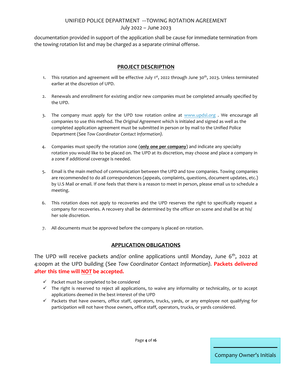documentation provided in support of the application shall be cause for immediate termination from the towing rotation list and may be charged as a separate criminal offense.

### **PROJECT DESCRIPTION**

- 1. This rotation and agreement will be effective July 1<sup>st</sup>, 2022 through June 30<sup>th</sup>, 2023. Unless terminated earlier at the discretion of UPD.
- 2. Renewals and enrollment for existing and/or new companies must be completed annually specified by the UPD.
- 3. The company must apply for the UPD tow rotation online at [www.updsl.org](http://www.updsl.org/) . We encourage all companies to use this method. The *Original Agreement* which is initialed and signed as well as the completed application agreement must be submitted in person or by mail to the Unified Police Department (See *Tow Coordinator Contact Information).*
- 4. Companies must specify the rotation zone (**only one per company**) and indicate any specialty rotation you would like to be placed on. The UPD at its discretion, may choose and place a company in a zone if additional coverage is needed.
- 5. Email is the main method of communication between the UPD and tow companies. Towing companies are recommended to do all correspondences (appeals, complaints, questions, document updates, etc.) by U.S Mail or email. If one feels that there is a reason to meet in person, please email us to schedule a meeting.
- 6. This rotation does not apply to recoveries and the UPD reserves the right to specifically request a company for recoveries. A recovery shall be determined by the officer on scene and shall be at his/ her sole discretion.
- 7. All documents must be approved before the company is placed on rotation.

#### **APPLICATION OBLIGATIONS**

The UPD will receive packets and/or online applications until Monday, June 6<sup>th</sup>, 2022 at 4:00pm at the UPD building (See *Tow Coordinator Contact Information).* **Packets delivered after this time will NOT be accepted.** 

- $\checkmark$  Packet must be completed to be considered
- $\checkmark$  The right is reserved to reject all applications, to waive any informality or technicality, or to accept applications deemed in the best interest of the UPD
- $\checkmark$  Packets that have owners, office staff, operators, trucks, yards, or any employee not qualifying for participation will not have those owners, office staff, operators, trucks, or yards considered.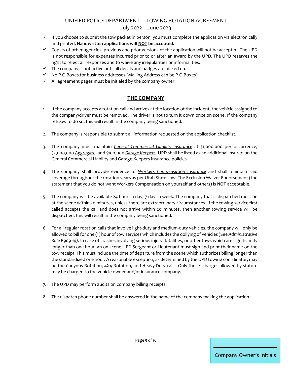# UNIFIED POLICE DEPARTMENT ---TOWING ROTATION AGREEMENT

#### July 2022 – June 2023

- $\checkmark$  If you choose to submit the tow packet in person, you must complete the application via electronically and printed. **Handwritten applications will NOT be accepted.**
- $\checkmark$  Copies of other agencies, previous and prior versions of the application will not be accepted. The UPD is not responsible for expenses incurred prior to or after an award by the UPD. The UPD reserves the right to reject all responses and to waive any irregularities or informalities.
- $\checkmark$  The company is not active until all decals and badges are picked up.
- $\checkmark$  No P.O Boxes for business addresses (Mailing Address can be P.O Boxes).
- $\checkmark$  All agreement pages must be initialed by the company owner

#### **THE COMPANY**

- 1. If the company accepts a rotation call and arrives at the location of the incident, the vehicle assigned to the company/driver must be removed. The driver is not to turn it down once on scene. If the company refuses to do so, this will result in the company being sanctioned.
- 2. The company is responsible to submit all information requested on the application checklist.
- 3. The company must maintain *General Commercial Liability Insurance* at \$1,000,000 per occurrence, \$2,000,000 *Aggregate*, and \$100,000 *Garage Keepers*. UPD shall be listed as an additional insured on the General Commercial Liability and Garage Keepers Insurance policies.
- 4. The company shall provide evidence of *Workers Compensation Insurance* and shall maintain said coverage throughout the rotation years as per Utah State Law. The Exclusion Waiver Endorsement (the statement that you do not want Workers Compensation on yourself and others) is **NOT** acceptable.
- 5. The company will be available 24 hours a day, 7 days a week. The company that is dispatched must be at the scene within 20 minutes, unless there are extraordinary circumstances. If the towing service first called accepts the call and does not arrive within 20 minutes, then another towing service will be dispatched, this will result in the company being sanctioned.
- 6. For all regular rotation calls that involve light-duty and medium-duty vehicles, the company will only be allowed to bill for one (1) hour of tow services which includes the dollying of vehicles (See *Administrative Rule R909-19).* In case of crashes involving serious injury, fatalities, or other tows which are significantly longer than one hour, an on-scene UPD Sergeant or Lieutenant must sign and print their name on the tow receipt. This must include the time of departure from the scene which authorizes billing longer than the standardized one hour. A reasonable exception, as determined by the UPD towing coordinator, may be the Canyons Rotation, 4X4 Rotation, and Heavy-Duty calls. Only those charges allowed by statute may be charged to the vehicle owner and/or insurance company.
- 7. The UPD may perform audits on company billing receipts.
- 8. The dispatch phone number shall be answered in the name of the company making the application.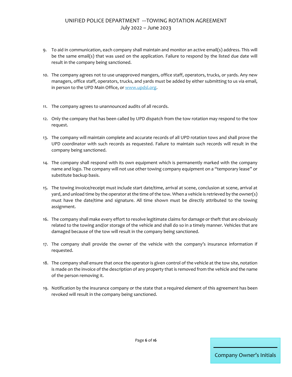- 9. To aid in communication, each company shall maintain and monitor an active email(s) address. This will be the same email(s) that was used on the application. Failure to respond by the listed due date will result in the company being sanctioned.
- 10. The company agrees not to use unapproved mangers, office staff, operators, trucks, or yards. Any new managers, office staff, operators, trucks, and yards must be added by either submitting to us via email, in person to the UPD Main Office, o[r www.updsl.org.](http://www.updsl.org/)
- 11. The company agrees to unannounced audits of all records.
- 12. Only the company that has been called by UPD dispatch from the tow rotation may respond to the tow request.
- 13. The company will maintain complete and accurate records of all UPD rotation tows and shall prove the UPD coordinator with such records as requested. Failure to maintain such records will result in the company being sanctioned.
- 14. The company shall respond with its own equipment which is permanently marked with the company name and logo. The company will not use other towing company equipment on a "temporary lease" or substitute backup basis.
- 15. The towing invoice/receipt must include start date/time, arrival at scene, conclusion at scene, arrival at yard, and unload time by the operator at the time of the tow. When a vehicle is retrieved by the owner(s) must have the date/time and signature. All time shown must be directly attributed to the towing assignment.
- 16. The company shall make every effort to resolve legitimate claims for damage or theft that are obviously related to the towing and/or storage of the vehicle and shall do so in a timely manner. Vehicles that are damaged because of the tow will result in the company being sanctioned.
- 17. The company shall provide the owner of the vehicle with the company's insurance information if requested.
- 18. The company shall ensure that once the operator is given control of the vehicle at the tow site, notation is made on the invoice of the description of any property that is removed from the vehicle and the name of the person removing it.
- 19. Notification by the insurance company or the state that a required element of this agreement has been revoked will result in the company being sanctioned.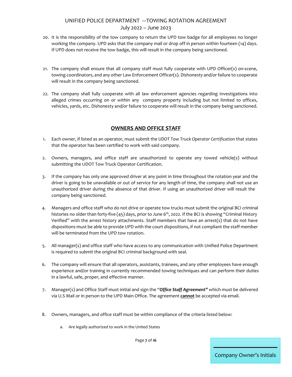- 20. It is the responsibility of the tow company to return the UPD tow badge for all employees no longer working the company. UPD asks that the company mail or drop off in person within fourteen (14) days. If UPD does not receive the tow badge, this will result in the company being sanctioned.
- 21. The company shall ensure that all company staff must fully cooperate with UPD Officer(s) on-scene, towing coordinators, and any other Law Enforcement Officer(s). Dishonesty and/or failure to cooperate will result in the company being sanctioned.
- 22. The company shall fully cooperate with all law enforcement agencies regarding investigations into alleged crimes occurring on or within any company property including but not limited to offices, vehicles, yards, etc. Dishonesty and/or failure to cooperate will result in the company being sanctioned.

#### **OWNERS AND OFFICE STAFF**

- 1. Each owner, if listed as an operator, must submit the *UDOT Tow Truck Operator Certification* that states that the operator has been certified to work with said company.
- 2. Owners, managers, and office staff are unauthorized to operate any towed vehicle(s) without submitting the UDOT Tow Truck Operator Certification.
- 3. If the company has only one approved driver at any point in time throughout the rotation year and the driver is going to be unavailable or out of service for any length of time, the company shall not use an unauthorized driver during the absence of that driver. If using an unauthorized driver will result the company being sanctioned.
- 4. Managers and office staff who do not drive or operate tow trucks must submit the original BCI criminal histories no older than forty-five (45) days, prior to June 6<sup>th</sup>, 2022. If the BCI is showing "Criminal History Verified" with the arrest history attachments. Staff members that have an arrest(s) that do not have dispositions must be able to provide UPD with the court dispositions, if not compliant the staff member will be terminated from the UPD tow rotation.
- 5. All manager(s) and office staff who have access to any communication with Unified Police Department is required to submit the original BCI criminal background with seal.
- 6. The company will ensure that all operators, assistants, trainees, and any other employees have enough experience and/or training in currently recommended towing techniques and can perform their duties in a lawful, safe, proper, and effective manner.
- 7. Manager(s) and Office Staff must initial and sign the "*Office Staff Agreement"* which must be delivered via U.S Mail or in person to the UPD Main Office. The agreement **cannot** be accepted via email.
- 8. Owners, managers, and office staff must be within compliance of the criteria listed below:
	- a. Are legally authorized to work in the United States

Page **7** of **16**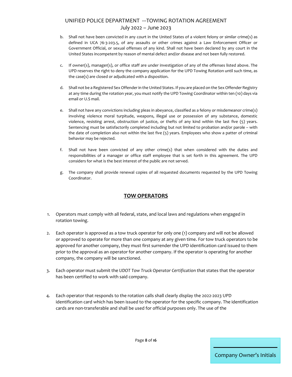- b. Shall not have been convicted in any court in the United States of a violent felony or similar crime(s) as defined in UCA 76-3-203.5, of any assaults or other crimes against a Law Enforcement Officer or Government Official, or sexual offenses of any kind. Shall not have been declared by any court in the United States incompetent by reason of mental defect and/or disease and not been fully restored.
- c. If owner(s), manager(s), or office staff are under investigation of any of the offenses listed above. The UPD reserves the right to deny the company application for the UPD Towing Rotation until such time, as the case(s) are closed or adjudicated with a disposition.
- d. Shall not be a Registered Sex Offender in the United States. If you are placed on the Sex Offender Registry at any time during the rotation year, you must notify the UPD Towing Coordinator within ten (10) days via email or U.S mail.
- e. Shall not have any convictions including pleas in abeyance, classified as a felony or misdemeanor crime(s) involving violence moral turpitude, weapons, illegal use or possession of any substance, domestic violence, resisting arrest, obstruction of justice, or thefts of any kind within the last five (5) years. Sentencing must be satisfactorily completed including but not limited to probation and/or parole – with the date of completion also not within the last five (5) years. Employees who show a patter of criminal behavior may be rejected.
- f. Shall not have been convicted of any other crime(s) that when considered with the duties and responsibilities of a manager or office staff employee that is set forth in this agreement. The UPD considers for what is the best interest of the public are not served.
- g. The company shall provide renewal copies of all requested documents requested by the UPD Towing Coordinator.

# **TOW OPERATORS**

- 1. Operators must comply with all federal, state, and local laws and regulations when engaged in rotation towing.
- 2. Each operator is approved as a tow truck operator for only one (1) company and will not be allowed or approved to operate for more than one company at any given time. For tow truck operators to be approved for another company, they must first surrender the UPD identification card issued to them prior to the approval as an operator for another company. If the operator is operating for another company, the company will be sanctioned.
- 3. Each operator must submit the *UDOT Tow Truck Operator Certification* that states that the operator has been certified to work with said company.
- 4. Each operator that responds to the rotation calls shall clearly display the 2022-2023 UPD identification card which has been issued to the operator for the specific company. The identification cards are non-transferable and shall be used for official purposes only. The use of the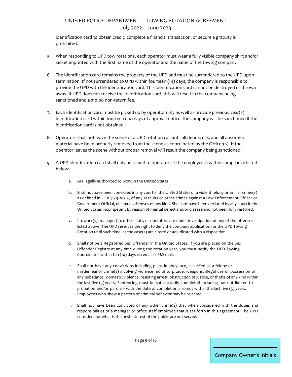identification card to obtain credit, complete a financial transaction, or secure a gratuity is prohibited.

- 5. When responding to UPD tow rotations, each operator must wear a fully visible company shirt and/or jacket imprinted with the first name of the operator and the name of the towing company.
- 6. The identification card remains the property of the UPD and must be surrendered to the UPD upon termination. If not surrendered to UPD within fourteen (14) days, the company is responsible to provide the UPD with the identification card. This identification card cannot be destroyed or thrown away. If UPD does not receive the identification card, this will result in the company being sanctioned and a \$10.00 non-return fee.
- 7. Each identification card must be picked up by operator only as well as provide previous year(s) identification card within fourteen (14) days of approval notice, the company will be sanctioned if the identification card is not obtained.
- 8. Operators shall not leave the scene of a UPD rotation call until all debris, oils, and all absorbent material have been properly removed from the scene as coordinated by the Officer(s). If the operator leaves the scene without proper removal will result the company being sanctioned.
- 9. A UPD identification card shall only be issued to operators if the employee is within compliance listed below:
	- a. Are legally authorized to work in the United States
	- b. Shall not have been convicted in any court in the United States of a violent felony or similar crime(s) as defined in UCA 76-3-203.5, of any assaults or other crimes against a Law Enforcement Officer or Government Official, or sexual offenses of any kind. Shall not have been declared by any court in the United States incompetent by reason of mental defect and/or disease and not been fully restored.
	- c. If owner(s), manager(s), office staff, or operators are under investigation of any of the offenses listed above. The UPD reserves the right to deny the company application for the UPD Towing Rotation until such time, as the case(s) are closed or adjudicated with a disposition.
	- d. Shall not be a Registered Sex Offender in the United States. If you are placed on the Sex Offender Registry at any time during the rotation year, you must notify the UPD Towing Coordinator within ten (10) days via email or U.S mail.
	- e. Shall not have any convictions including pleas in abeyance, classified as a felony or misdemeanor crime(s) involving violence moral turpitude, weapons, illegal use or possession of any substance, domestic violence, resisting arrest, obstruction of justice, or thefts of any kind within the last five (5) years. Sentencing must be satisfactorily completed including but not limited to probation and/or parole – with the date of completion also not within the last five (5) years. Employees who show a pattern of criminal behavior may be rejected.
	- f. Shall not have been convicted of any other crime(s) that when considered with the duties and responsibilities of a manager or office staff employee that is set forth in this agreement. The UPD considers for what is the best interest of the public are not served.

Company Owner's Initials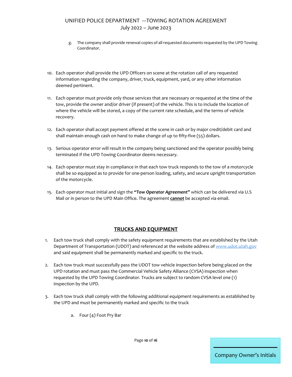- g. The company shall provide renewal copies of all requested documents requested by the UPD Towing Coordinator.
- 10. Each operator shall provide the UPD Officers on scene at the rotation call of any requested information regarding the company, driver, truck, equipment, yard, or any other information deemed pertinent.
- 11. Each operator must provide only those services that are necessary or requested at the time of the tow, provide the owner and/or driver (if present) of the vehicle. This is to include the location of where the vehicle will be stored, a copy of the current rate schedule, and the terms of vehicle recovery.
- 12. Each operator shall accept payment offered at the scene in cash or by major credit/debit card and shall maintain enough cash on hand to make change of up to fifty-five (55) dollars.
- 13. Serious operator error will result in the company being sanctioned and the operator possibly being terminated if the UPD Towing Coordinator deems necessary.
- 14. Each operator must stay in compliance in that each tow truck responds to the tow of a motorcycle shall be so equipped as to provide for one-person loading, safety, and secure upright transportation of the motorcycle.
- 15. Each operator must initial and sign the *"Tow Operator Agreement"* which can be delivered via U.S Mail or in person to the UPD Main Office. The agreement **cannot** be accepted via email.

#### **TRUCKS AND EQUIPMENT**

- 1. Each tow truck shall comply with the safety equipment requirements that are established by the Utah Department of Transportation (UDOT) and referenced at the website address o[f www.udot.utah.gov](http://www.udot.utah.gov/) and said equipment shall be permanently marked and specific to the truck.
- 2. Each tow truck must successfully pass the UDOT tow vehicle inspection before being placed on the UPD rotation and must pass the Commercial Vehicle Safety Alliance (CVSA) inspection when requested by the UPD Towing Coordinator. Trucks are subject to random CVSA level one (1) inspection by the UPD.
- 3. Each tow truck shall comply with the following additional equipment requirements as established by the UPD and must be permanently marked and specific to the truck
	- a. Four (4) Foot Pry Bar

Page **10** of **16**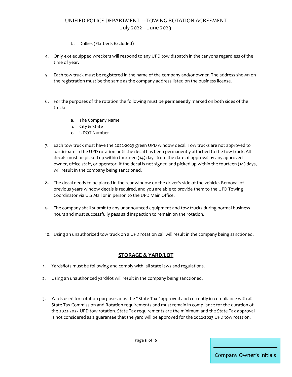- b. Dollies (Flatbeds Excluded)
- 4. Only 4x4 equipped wreckers will respond to any UPD tow dispatch in the canyons regardless of the time of year.
- 5. Each tow truck must be registered in the name of the company and/or owner. The address shown on the registration must be the same as the company address listed on the business license.
- 6. For the purposes of the rotation the following must be **permanently** marked on both sides of the truck:
	- a. The Company Name
	- b. City & State
	- c. UDOT Number
- 7. Each tow truck must have the 2022-2023 green UPD window decal. Tow trucks are not approved to participate in the UPD rotation until the decal has been permanently attached to the tow truck. All decals must be picked up within fourteen (14) days from the date of approval by any approved owner, office staff, or operator. If the decal is not signed and picked up within the fourteen (14) days, will result in the company being sanctioned.
- 8. The decal needs to be placed in the rear window on the driver's side of the vehicle. Removal of previous years window decals is required, and you are able to provide them to the UPD Towing Coordinator via U.S Mail or in person to the UPD Main Office.
- 9. The company shall submit to any unannounced equipment and tow trucks during normal business hours and must successfully pass said inspection to remain on the rotation.
- 10. Using an unauthorized tow truck on a UPD rotation call will result in the company being sanctioned.

#### **STORAGE & YARD/LOT**

- 1. Yards/lots must be following and comply with all state laws and regulations.
- 2. Using an unauthorized yard/lot will result in the company being sanctioned.
- 3. Yards used for rotation purposes must be "State Tax" approved and currently in compliance with all State Tax Commission and Rotation requirements and must remain in compliance for the duration of the 2022-2023 UPD tow rotation. State Tax requirements are the minimum and the State Tax approval is not considered as a guarantee that the yard will be approved for the 2022-2023 UPD tow rotation.

Page **11** of **16**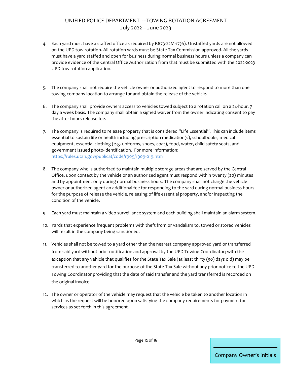- 4. Each yard must have a staffed office as required by R873-22M-17(6). Unstaffed yards are not allowed on the UPD tow rotation. All rotation yards must be State Tax Commission approved. All the yards must have a yard staffed and open for business during normal business hours unless a company can provide evidence of the Central Office Authorization from that must be submitted with the 2022-2023 UPD tow rotation application.
- 5. The company shall not require the vehicle owner or authorized agent to respond to more than one towing company location to arrange for and obtain the release of the vehicle.
- 6. The company shall provide owners access to vehicles towed subject to a rotation call on a 24-hour, 7 day a week basis. The company shall obtain a signed waiver from the owner indicating consent to pay the after hours release fee.
- 7. The company is required to release property that is considered "Life Essential". This can include items essential to sustain life or health including prescription medication(s), schoolbooks, medical equipment, essential clothing (e.g. uniforms, shoes, coat), food, water, child safety seats, and government issued photo-identification. For more information: <https://rules.utah.gov/publicat/code/r909/r909-019.htm>
- 8. The company who is authorized to maintain multiple storage areas that are served by the Central Office, upon contact by the vehicle or an authorized agent must respond within twenty (20) minutes and by appointment only during normal business hours. The company shall not charge the vehicle owner or authorized agent an additional fee for responding to the yard during normal business hours for the purpose of release the vehicle, releasing of life essential property, and/or inspecting the condition of the vehicle.
- 9. Each yard must maintain a video surveillance system and each building shall maintain an alarm system.
- 10. Yards that experience frequent problems with theft from or vandalism to, towed or stored vehicles will result in the company being sanctioned.
- 11. Vehicles shall not be towed to a yard other than the nearest company approved yard or transferred from said yard without prior notification and approval by the UPD Towing Coordinator; with the exception that any vehicle that qualifies for the State Tax Sale (at least thirty (30) days old) may be transferred to another yard for the purpose of the State Tax Sale without any prior notice to the UPD Towing Coordinator providing that the date of said transfer and the yard transferred is recorded on the original invoice.
- 12. The owner or operator of the vehicle may request that the vehicle be taken to another location in which as the request will be honored upon satisfying the company requirements for payment for services as set forth in this agreement.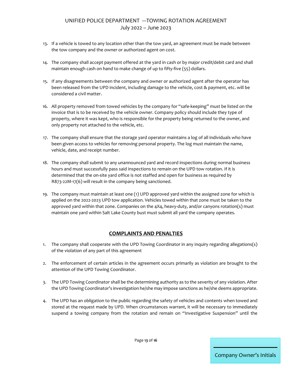- 13. If a vehicle is towed to any location other than the tow yard, an agreement must be made between the tow company and the owner or authorized agent on cost.
- 14. The company shall accept payment offered at the yard in cash or by major credit/debit card and shall maintain enough cash on hand to make change of up to fifty-five (55) dollars.
- 15. If any disagreements between the company and owner or authorized agent after the operator has been released from the UPD incident, including damage to the vehicle, cost & payment, etc. will be considered a civil matter.
- 16. All property removed from towed vehicles by the company for "safe-keeping" must be listed on the invoice that is to be received by the vehicle owner. Company policy should include they type of property, where it was kept, who is responsible for the property being returned to the owner, and only property not attached to the vehicle, etc.
- 17. The company shall ensure that the storage yard operator maintains a log of all individuals who have been given access to vehicles for removing personal property. The log must maintain the name, vehicle, date, and receipt number.
- 18. The company shall submit to any unannounced yard and record inspections during normal business hours and must successfully pass said inspections to remain on the UPD tow rotation. If it is determined that the on-site yard office is not staffed and open for business as required by R873-22M-17(6) will result in the company being sanctioned.
- 19. The company must maintain at least one (1) UPD approved yard within the assigned zone for which is applied on the 2022-2023 UPD tow application. Vehicles towed within that zone must be taken to the approved yard within that zone. Companies on the 4X4, heavy-duty, and/or canyons rotation(s) must maintain one yard within Salt Lake County bust must submit all yard the company operates.

#### **COMPLAINTS AND PENALTIES**

- 1. The company shall cooperate with the UPD Towing Coordinator in any inquiry regarding allegations(s) of the violation of any part of this agreement
- 2. The enforcement of certain articles in the agreement occurs primarily as violation are brought to the attention of the UPD Towing Coordinator.
- 3. The UPD Towing Coordinator shall be the determining authority as to the severity of any violation. After the UPD Towing Coordinator's investigation he/she may impose sanctions as he/she deems appropriate.
- 4. The UPD has an obligation to the public regarding the safety of vehicles and contents when towed and stored at the request made by UPD. When circumstances warrant, it will be necessary to immediately suspend a towing company from the rotation and remain on "Investigative Suspension" until the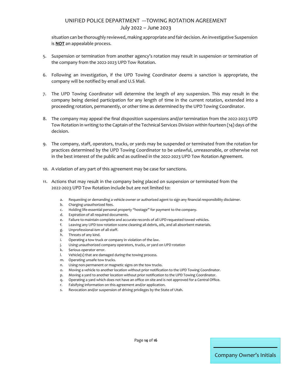situation can be thoroughly reviewed, making appropriate and fair decision. An investigative Suspension is **NOT** an appealable process.

- 5. Suspension or termination from another agency's rotation may result in suspension or termination of the company from the 2022-2023 UPD Tow Rotation.
- 6. Following an investigation, if the UPD Towing Coordinator deems a sanction is appropriate, the company will be notified by email and U.S Mail.
- 7. The UPD Towing Coordinator will determine the length of any suspension. This may result in the company being denied participation for any length of time in the current rotation, extended into a proceeding rotation, permanently, or other time as determined by the UPD Towing Coordinator.
- 8. The company may appeal the final disposition suspensions and/or termination from the 2022-2023 UPD Tow Rotation in writing to the Captain of the Technical Services Division within fourteen (14) days of the decision.
- 9. The company, staff, operators, trucks, or yards may be suspended or terminated from the rotation for practices determined by the UPD Towing Coordinator to be unlawful, unreasonable, or otherwise not in the best interest of the public and as outlined in the 2022-2023 UPD Tow Rotation Agreement.
- 10. A violation of any part of this agreement may be case for sanctions.
- 11. Actions that may result in the company being placed on suspension or terminated from the 2022-2023 UPD Tow Rotation include but are not limited to:
	- a. Requesting or demanding a vehicle owner or authorized agent to sign any financial responsibility disclaimer.
	- b. Charging unauthorized fees.
	- c. Holding life-essential personal property "hostage" for payment to the company.
	- d. Expiration of all required documents.
	- e. Failure to maintain complete and accurate records of all UPD requested towed vehicles.
	- f. Leaving any UPD tow rotation scene cleaning all debris, oils, and all absorbent materials.
	- g. Unprofessional-ism of all staff.
	- h. Threats of any kind.
	- i. Operating a tow truck or company in violation of the law.
	- j. Using unauthorized company operators, trucks, or yard on UPD rotation
	- k. Serious operator error.
	- l. Vehicle(s) that are damaged during the towing process.
	- m. Operating unsafe tow trucks.
	- n. Using non-permanent or magnetic signs on the tow trucks.
	- o. Moving a vehicle to another location without prior notification to the UPD Towing Coordinator.
	- p. Moving a yard to another location without prior notification to the UPD Towing Coordinator.
	- q. Operating a yard which does not have an office on site and is not approved for a Central Office.
	- r. Falsifying information on this agreement and/or application.
	- s. Revocation and/or suspension of driving privileges by the State of Utah.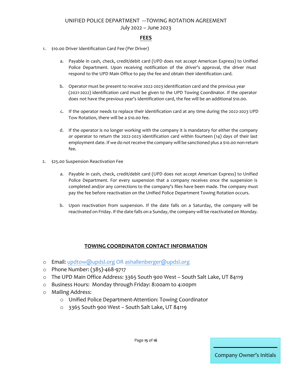#### **FEES**

- 1. \$10.00 Driver Identification Card Fee (Per Driver)
	- a. Payable in cash, check, credit/debit card (UPD does not accept American Express) to Unified Police Department. Upon receiving notification of the driver's approval, the driver must respond to the UPD Main Office to pay the fee and obtain their identification card.
	- b. Operator must be present to receive 2022-2023 identification card and the previous year (2021-2022) identification card must be given to the UPD Towing Coordinator. If the operator does not have the previous year's identification card, the fee will be an additional \$10.00.
	- c. If the operator needs to replace their identification card at any time during the 2022-2023 UPD Tow Rotation, there will be a \$10.00 fee.
	- d. If the operator is no longer working with the company it is mandatory for either the company or operator to return the 2022-2023 identification card within fourteen (14) days of their last employment date. If we do not receive the company will be sanctioned plus a \$10.00 non-return fee.
- 2. \$25.00 Suspension Reactivation Fee
	- a. Payable in cash, check, credit/debit card (UPD does not accept American Express) to Unified Police Department. For every suspension that a company receives once the suspension is completed and/or any corrections to the company's files have been made. The company must pay the fee before reactivation on the Unified Police Department Towing Rotation occurs.
	- b. Upon reactivation from suspension. If the date falls on a Saturday, the company will be reactivated on Friday. If the date falls on a Sunday, the company will be reactivated on Monday.

#### **TOWING COORDINATOR CONTACT INFORMATION**

- o Email: [updtow@updsl.org](mailto:updtow@updsl.org) OR [ashallenberger@updsl.org](mailto:ashallenberger@updsl.org)
- o Phone Number: (385)-468-9717
- o The UPD Main Office Address: 3365 South 900 West South Salt Lake, UT 84119
- o Business Hours: Monday through Friday: 8:00am to 4:00pm
- o Mailing Address:
	- o Unified Police Department-Attention: Towing Coordinator
	- o 3365 South 900 West South Salt Lake, UT 84119

Page **15** of **16**